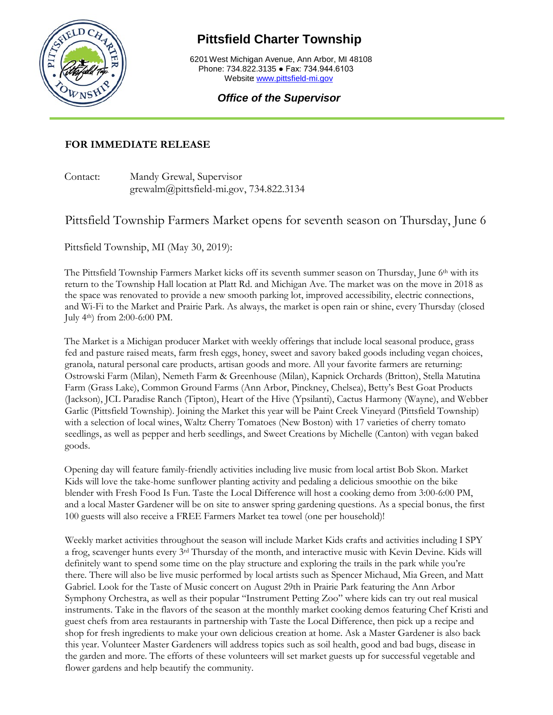

## **Pittsfield Charter Township**

6201West Michigan Avenue, Ann Arbor, MI 48108 Phone: 734.822.3135 ● Fax: 734.944.6103 Website [www.pittsfield-mi.gov](http://www.pittsfield-mi.gov/)

## *Office of the Supervisor*

## **FOR IMMEDIATE RELEASE**

Contact: Mandy Grewal, Supervisor grewalm@pittsfield-mi.gov, 734.822.3134

## Pittsfield Township Farmers Market opens for seventh season on Thursday, June 6

Pittsfield Township, MI (May 30, 2019):

The Pittsfield Township Farmers Market kicks off its seventh summer season on Thursday, June 6th with its return to the Township Hall location at Platt Rd. and Michigan Ave. The market was on the move in 2018 as the space was renovated to provide a new smooth parking lot, improved accessibility, electric connections, and Wi-Fi to the Market and Prairie Park. As always, the market is open rain or shine, every Thursday (closed July 4th) from 2:00-6:00 PM.

The Market is a Michigan producer Market with weekly offerings that include local seasonal produce, grass fed and pasture raised meats, farm fresh eggs, honey, sweet and savory baked goods including vegan choices, granola, natural personal care products, artisan goods and more. All your favorite farmers are returning: Ostrowski Farm (Milan), Nemeth Farm & Greenhouse (Milan), Kapnick Orchards (Britton), Stella Matutina Farm (Grass Lake), Common Ground Farms (Ann Arbor, Pinckney, Chelsea), Betty's Best Goat Products (Jackson), JCL Paradise Ranch (Tipton), Heart of the Hive (Ypsilanti), Cactus Harmony (Wayne), and Webber Garlic (Pittsfield Township). Joining the Market this year will be Paint Creek Vineyard (Pittsfield Township) with a selection of local wines, Waltz Cherry Tomatoes (New Boston) with 17 varieties of cherry tomato seedlings, as well as pepper and herb seedlings, and Sweet Creations by Michelle (Canton) with vegan baked goods.

Opening day will feature family-friendly activities including live music from local artist Bob Skon. Market Kids will love the take-home sunflower planting activity and pedaling a delicious smoothie on the bike blender with Fresh Food Is Fun. Taste the Local Difference will host a cooking demo from 3:00-6:00 PM, and a local Master Gardener will be on site to answer spring gardening questions. As a special bonus, the first 100 guests will also receive a FREE Farmers Market tea towel (one per household)!

Weekly market activities throughout the season will include Market Kids crafts and activities including I SPY a frog, scavenger hunts every 3rd Thursday of the month, and interactive music with Kevin Devine. Kids will definitely want to spend some time on the play structure and exploring the trails in the park while you're there. There will also be live music performed by local artists such as Spencer Michaud, Mia Green, and Matt Gabriel. Look for the Taste of Music concert on August 29th in Prairie Park featuring the Ann Arbor Symphony Orchestra, as well as their popular "Instrument Petting Zoo" where kids can try out real musical instruments. Take in the flavors of the season at the monthly market cooking demos featuring Chef Kristi and guest chefs from area restaurants in partnership with Taste the Local Difference, then pick up a recipe and shop for fresh ingredients to make your own delicious creation at home. Ask a Master Gardener is also back this year. Volunteer Master Gardeners will address topics such as soil health, good and bad bugs, disease in the garden and more. The efforts of these volunteers will set market guests up for successful vegetable and flower gardens and help beautify the community.